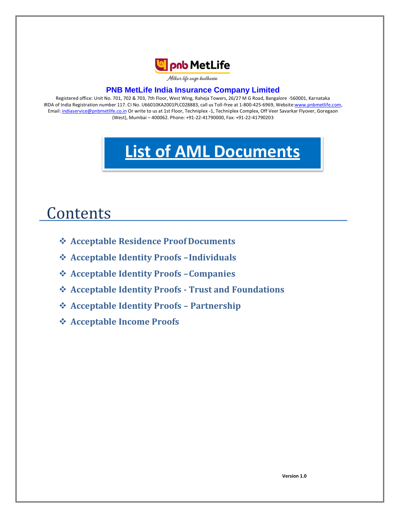

Milkar life aage badhaein

## **PNB MetLife India Insurance Company Limited**

Registered office: Unit No. 701, 702 & 703, 7th Floor, West Wing, Raheja Towers, 26/27 M G Road, Bangalore -560001, Karnataka IRDA of India Registration number 117. CI No. U66010KA2001PLC028883, call us Toll-free at 1-800-425-6969, Websit[e:www.pnbmetlife.com,](http://www.pnbmetlife.com/) Email[: indiaservice@pnbmetlife.co.in](mailto:indiaservice@pnbmetlife.co.in) Or write to us at 1st Floor, Techniplex -1, Techniplex Complex, Off Veer Savarkar Flyover, Goregaon (West), Mumbai – 400062. Phone: +91-22-41790000, Fax: +91-22-41790203

# **List of AML Documents**

# **Contents**

- **Acceptable Residence Proof Documents**
- **Acceptable Identity Proofs –Individuals**
- **Acceptable Identity Proofs –Companies**
- **Acceptable Identity Proofs - Trust and Foundations**
- **Acceptable Identity Proofs – Partnership**
- **Acceptable Income Proofs**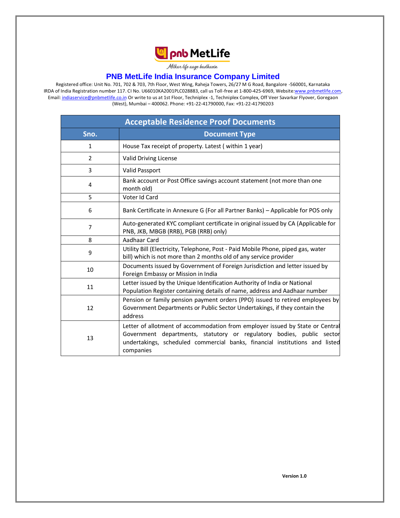

Milkar life aage badhaein

#### **PNB MetLife India Insurance Company Limited**

Registered office: Unit No. 701, 702 & 703, 7th Floor, West Wing, Raheja Towers, 26/27 M G Road, Bangalore -560001, Karnataka IRDA of India Registration number 117. CI No. U66010KA2001PLC028883, call us Toll-free at 1-800-425-6969, Websit[e:www.pnbmetlife.com,](http://www.pnbmetlife.com/) Email[: indiaservice@pnbmetlife.co.in](mailto:indiaservice@pnbmetlife.co.in) Or write to us at 1st Floor, Techniplex -1, Techniplex Complex, Off Veer Savarkar Flyover, Goregaon (West), Mumbai – 400062. Phone: +91-22-41790000, Fax: +91-22-41790203

| <b>Acceptable Residence Proof Documents</b> |                                                                                                                                                                                                                                                    |
|---------------------------------------------|----------------------------------------------------------------------------------------------------------------------------------------------------------------------------------------------------------------------------------------------------|
| Sno.                                        | <b>Document Type</b>                                                                                                                                                                                                                               |
| 1                                           | House Tax receipt of property. Latest (within 1 year)                                                                                                                                                                                              |
| $\overline{2}$                              | Valid Driving License                                                                                                                                                                                                                              |
| 3                                           | <b>Valid Passport</b>                                                                                                                                                                                                                              |
| 4                                           | Bank account or Post Office savings account statement (not more than one<br>month old)                                                                                                                                                             |
| 5                                           | Voter Id Card                                                                                                                                                                                                                                      |
| 6                                           | Bank Certificate in Annexure G (For all Partner Banks) - Applicable for POS only                                                                                                                                                                   |
| 7                                           | Auto-generated KYC compliant certificate in original issued by CA (Applicable for<br>PNB, JKB, MBGB (RRB), PGB (RRB) only)                                                                                                                         |
| 8                                           | Aadhaar Card                                                                                                                                                                                                                                       |
| 9                                           | Utility Bill (Electricity, Telephone, Post - Paid Mobile Phone, piped gas, water<br>bill) which is not more than 2 months old of any service provider                                                                                              |
| 10                                          | Documents issued by Government of Foreign Jurisdiction and letter issued by<br>Foreign Embassy or Mission in India                                                                                                                                 |
| 11                                          | Letter issued by the Unique Identification Authority of India or National<br>Population Register containing details of name, address and Aadhaar number                                                                                            |
| 12                                          | Pension or family pension payment orders (PPO) issued to retired employees by<br>Government Departments or Public Sector Undertakings, if they contain the<br>address                                                                              |
| 13                                          | Letter of allotment of accommodation from employer issued by State or Central<br>Government departments, statutory or regulatory bodies, public sector<br>undertakings, scheduled commercial banks, financial institutions and listed<br>companies |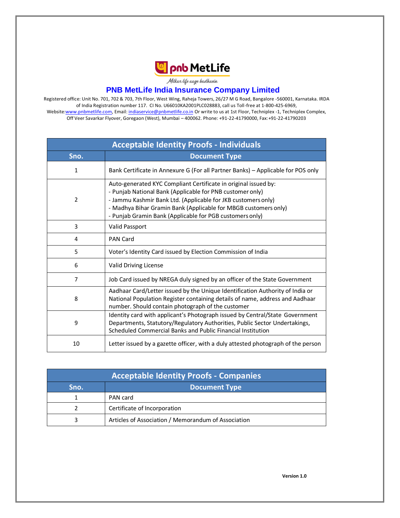

Milkar life aage hadhaein

#### **PNB MetLife India Insurance Company Limited**

Registered office: Unit No. 701, 702 & 703, 7th Floor, West Wing, Raheja Towers, 26/27 M G Road, Bangalore -560001, Karnataka. IRDA of India Registration number 117. CI No. U66010KA2001PLC028883, call us Toll-free at 1-800-425-6969, Websit[e:www.pnbmetlife.com, E](http://www.pnbmetlife.com/)mail[: indiaservice@pnbmetlife.co.in](mailto:indiaservice@pnbmetlife.co.in) Or write to us at 1st Floor, Techniplex -1, Techniplex Complex, Off Veer Savarkar Flyover, Goregaon (West), Mumbai – 400062. Phone: +91-22-41790000, Fax:+91-22-41790203

| <b>Acceptable Identity Proofs - Individuals</b> |                                                                                                                                                                                                                                                                                                                              |  |
|-------------------------------------------------|------------------------------------------------------------------------------------------------------------------------------------------------------------------------------------------------------------------------------------------------------------------------------------------------------------------------------|--|
| Sno.                                            | <b>Document Type</b>                                                                                                                                                                                                                                                                                                         |  |
| 1                                               | Bank Certificate in Annexure G (For all Partner Banks) - Applicable for POS only                                                                                                                                                                                                                                             |  |
| 2                                               | Auto-generated KYC Compliant Certificate in original issued by:<br>- Punjab National Bank (Applicable for PNB customer only)<br>- Jammu Kashmir Bank Ltd. (Applicable for JKB customers only)<br>- Madhya Bihar Gramin Bank (Applicable for MBGB customers only)<br>- Punjab Gramin Bank (Applicable for PGB customers only) |  |
| 3                                               | Valid Passport                                                                                                                                                                                                                                                                                                               |  |
| 4                                               | <b>PAN Card</b>                                                                                                                                                                                                                                                                                                              |  |
| 5                                               | Voter's Identity Card issued by Election Commission of India                                                                                                                                                                                                                                                                 |  |
| 6                                               | Valid Driving License                                                                                                                                                                                                                                                                                                        |  |
| 7                                               | Job Card issued by NREGA duly signed by an officer of the State Government                                                                                                                                                                                                                                                   |  |
| 8                                               | Aadhaar Card/Letter issued by the Unique Identification Authority of India or<br>National Population Register containing details of name, address and Aadhaar<br>number. Should contain photograph of the customer                                                                                                           |  |
| 9                                               | Identity card with applicant's Photograph issued by Central/State Government<br>Departments, Statutory/Regulatory Authorities, Public Sector Undertakings,<br>Scheduled Commercial Banks and Public Financial Institution                                                                                                    |  |
| 10                                              | Letter issued by a gazette officer, with a duly attested photograph of the person                                                                                                                                                                                                                                            |  |

| <b>Acceptable Identity Proofs - Companies</b> |                                                     |
|-----------------------------------------------|-----------------------------------------------------|
| Sno.                                          | <b>Document Type</b>                                |
|                                               | PAN card                                            |
|                                               | Certificate of Incorporation                        |
|                                               | Articles of Association / Memorandum of Association |